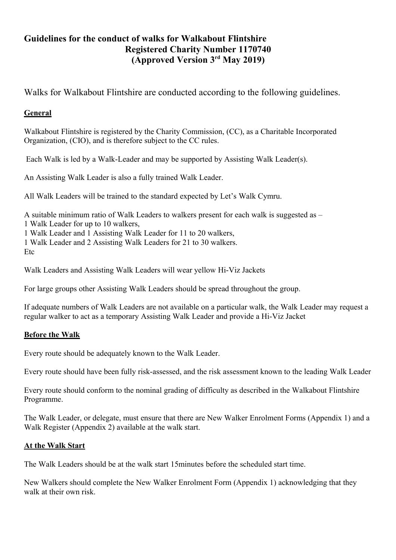### **Guidelines for the conduct of walks for Walkabout Flintshire Registered Charity Number 1170740 (Approved Version 3rd May 2019)**

Walks for Walkabout Flintshire are conducted according to the following guidelines.

### **General**

Walkabout Flintshire is registered by the Charity Commission, (CC), as a Charitable Incorporated Organization, (CIO), and is therefore subject to the CC rules.

Each Walk is led by a Walk-Leader and may be supported by Assisting Walk Leader(s).

An Assisting Walk Leader is also a fully trained Walk Leader.

All Walk Leaders will be trained to the standard expected by Let's Walk Cymru.

A suitable minimum ratio of Walk Leaders to walkers present for each walk is suggested as – 1 Walk Leader for up to 10 walkers, 1 Walk Leader and 1 Assisting Walk Leader for 11 to 20 walkers, 1 Walk Leader and 2 Assisting Walk Leaders for 21 to 30 walkers. Etc

Walk Leaders and Assisting Walk Leaders will wear yellow Hi-Viz Jackets

For large groups other Assisting Walk Leaders should be spread throughout the group.

If adequate numbers of Walk Leaders are not available on a particular walk, the Walk Leader may request a regular walker to act as a temporary Assisting Walk Leader and provide a Hi-Viz Jacket

### **Before the Walk**

Every route should be adequately known to the Walk Leader.

Every route should have been fully risk-assessed, and the risk assessment known to the leading Walk Leader

Every route should conform to the nominal grading of difficulty as described in the Walkabout Flintshire Programme.

The Walk Leader, or delegate, must ensure that there are New Walker Enrolment Forms (Appendix 1) and a Walk Register (Appendix 2) available at the walk start.

### **At the Walk Start**

The Walk Leaders should be at the walk start 15minutes before the scheduled start time.

New Walkers should complete the New Walker Enrolment Form (Appendix 1) acknowledging that they walk at their own risk.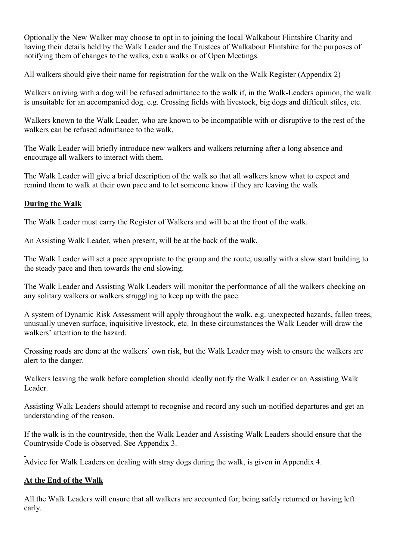Optionally the New Walker may choose to opt in to joining the local Walkabout Flintshire Charity and having their details held by the Walk Leader and the Trustees of Walkabout Flintshire for the purposes of notifying them of changes to the walks, extra walks or of Open Meetings.

All walkers should give their name for registration for the walk on the Walk Register (Appendix 2)

Walkers arriving with a dog will be refused admittance to the walk if, in the Walk-Leaders opinion, the walk is unsuitable for an accompanied dog. e.g. Crossing fields with livestock, big dogs and difficult stiles, etc.

Walkers known to the Walk Leader, who are known to be incompatible with or disruptive to the rest of the walkers can be refused admittance to the walk.

The Walk Leader will briefly introduce new walkers and walkers returning after a long absence and encourage all walkers to interact with them.

The Walk Leader will give a brief description of the walk so that all walkers know what to expect and remind them to walk at their own pace and to let someone know if they are leaving the walk.

#### **During the Walk**

The Walk Leader must carry the Register of Walkers and will be at the front of the walk.

An Assisting Walk Leader, when present, will be at the back of the walk.

The Walk Leader will set a pace appropriate to the group and the route, usually with a slow start building to the steady pace and then towards the end slowing.

The Walk Leader and Assisting Walk Leaders will monitor the performance of all the walkers checking on any solitary walkers or walkers struggling to keep up with the pace.

A system of Dynamic Risk Assessment will apply throughout the walk. e.g. unexpected hazards, fallen trees, unusually uneven surface, inquisitive livestock, etc. In these circumstances the Walk Leader will draw the walkers' attention to the hazard.

Crossing roads are done at the walkers' own risk, but the Walk Leader may wish to ensure the walkers are alert to the danger.

Walkers leaving the walk before completion should ideally notify the Walk Leader or an Assisting Walk Leader.

Assisting Walk Leaders should attempt to recognise and record any such un-notified departures and get an understanding of the reason.

If the walk is in the countryside, then the Walk Leader and Assisting Walk Leaders should ensure that the Countryside Code is observed. See Appendix 3.

Advice for Walk Leaders on dealing with stray dogs during the walk, is given in Appendix 4.

#### **At the End of the Walk**

All the Walk Leaders will ensure that all walkers are accounted for; being safely returned or having left early.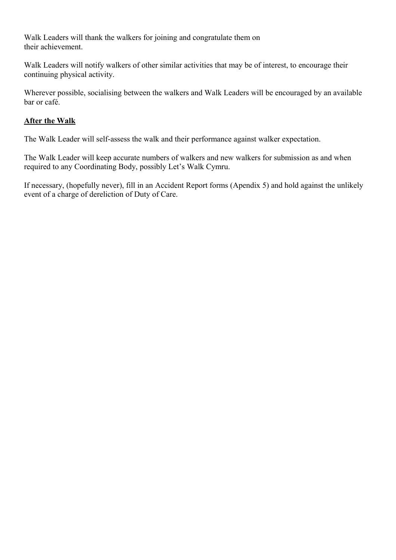Walk Leaders will thank the walkers for joining and congratulate them on their achievement.

Walk Leaders will notify walkers of other similar activities that may be of interest, to encourage their continuing physical activity.

Wherever possible, socialising between the walkers and Walk Leaders will be encouraged by an available bar or café.

### **After the Walk**

The Walk Leader will self-assess the walk and their performance against walker expectation.

The Walk Leader will keep accurate numbers of walkers and new walkers for submission as and when required to any Coordinating Body, possibly Let's Walk Cymru.

If necessary, (hopefully never), fill in an Accident Report forms (Apendix 5) and hold against the unlikely event of a charge of dereliction of Duty of Care.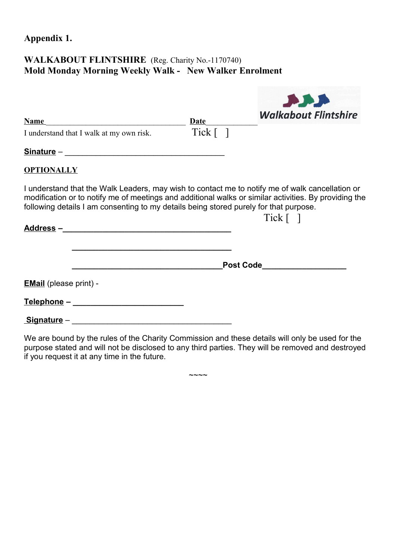## **Appendix 1.**

# **WALKABOUT FLINTSHIRE** (Reg. Charity No.-1170740) **Mold Monday Morning Weekly Walk - New Walker Enrolment**

| <b>Name</b>                                                                                                                                                                                                                                                                                       | <b>Date</b>          | <b>Walkabout Flintshire</b>   |
|---------------------------------------------------------------------------------------------------------------------------------------------------------------------------------------------------------------------------------------------------------------------------------------------------|----------------------|-------------------------------|
| I understand that I walk at my own risk.                                                                                                                                                                                                                                                          | $Tick \lceil \rceil$ |                               |
|                                                                                                                                                                                                                                                                                                   |                      |                               |
| <b>OPTIONALLY</b>                                                                                                                                                                                                                                                                                 |                      |                               |
| I understand that the Walk Leaders, may wish to contact me to notify me of walk cancellation or<br>modification or to notify me of meetings and additional walks or similar activities. By providing the<br>following details I am consenting to my details being stored purely for that purpose. |                      | $Tick$ $\lceil \; \rceil$     |
|                                                                                                                                                                                                                                                                                                   |                      | Post Code____________________ |
| <b>EMail</b> (please print) -                                                                                                                                                                                                                                                                     |                      |                               |
| <u> Telephone</u> – ______________________                                                                                                                                                                                                                                                        |                      |                               |
| Signature - Signature - Signature - Signature - Signature - Signature - Signature - Signature - Signature - Si                                                                                                                                                                                    |                      |                               |
| موله ومقاسمتين ومرارياتها البرر والملوام ومممله اموم وبمتموماته كالمستخدمات وملهكم ومراس ووالبس المستمر واللا                                                                                                                                                                                     |                      |                               |

We are bound by the rules of the Charity Commission and these details will only be used for the purpose stated and will not be disclosed to any third parties. They will be removed and destroyed if you request it at any time in the future.

 $\sim\sim\sim\sim$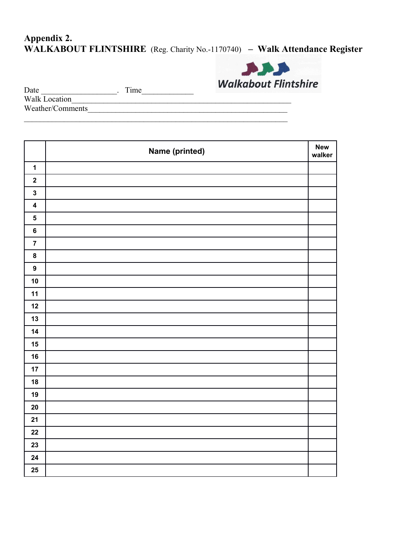# **Appendix 2. WALKABOUT FLINTSHIRE** (Reg. Charity No.-1170740) **– Walk Attendance Register**



Date \_\_\_\_\_\_\_\_\_\_\_\_\_\_\_\_\_\_\_. Time\_\_\_\_\_\_\_\_\_\_\_\_\_ Walk Location Weather/Comments\_\_\_\_\_\_\_\_\_\_\_\_\_\_\_\_\_\_\_\_\_\_\_\_\_\_\_\_\_\_\_\_\_\_\_\_\_\_\_\_\_\_\_\_\_\_\_\_\_\_  $\mathcal{L}_\mathcal{L} = \mathcal{L}_\mathcal{L} = \mathcal{L}_\mathcal{L} = \mathcal{L}_\mathcal{L} = \mathcal{L}_\mathcal{L} = \mathcal{L}_\mathcal{L} = \mathcal{L}_\mathcal{L} = \mathcal{L}_\mathcal{L} = \mathcal{L}_\mathcal{L} = \mathcal{L}_\mathcal{L} = \mathcal{L}_\mathcal{L} = \mathcal{L}_\mathcal{L} = \mathcal{L}_\mathcal{L} = \mathcal{L}_\mathcal{L} = \mathcal{L}_\mathcal{L} = \mathcal{L}_\mathcal{L} = \mathcal{L}_\mathcal{L}$ 

|                         | Name (printed) | <b>New</b><br>walker |
|-------------------------|----------------|----------------------|
| $\mathbf{1}$            |                |                      |
| $\mathbf 2$             |                |                      |
| $\mathbf{3}$            |                |                      |
| $\overline{\mathbf{4}}$ |                |                      |
| $\overline{\mathbf{5}}$ |                |                      |
| $\bf 6$                 |                |                      |
| $\overline{7}$          |                |                      |
| $\bf 8$                 |                |                      |
| $\boldsymbol{9}$        |                |                      |
| 10                      |                |                      |
| 11                      |                |                      |
| 12                      |                |                      |
| 13                      |                |                      |
| 14                      |                |                      |
| 15                      |                |                      |
| 16                      |                |                      |
| 17                      |                |                      |
| 18                      |                |                      |
| 19                      |                |                      |
| 20                      |                |                      |
| 21                      |                |                      |
| 22                      |                |                      |
| 23                      |                |                      |
| 24                      |                |                      |
| 25                      |                |                      |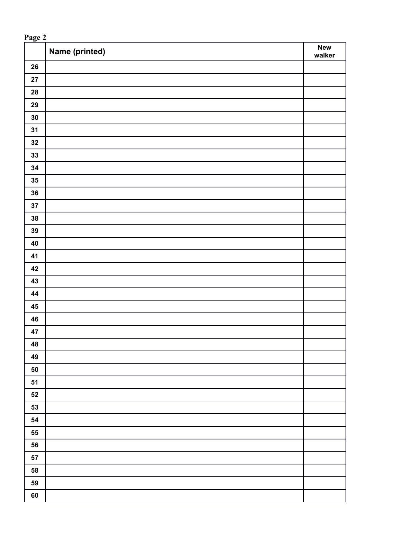|            | Page 2         |                      |  |  |  |
|------------|----------------|----------------------|--|--|--|
|            | Name (printed) | <b>New</b><br>walker |  |  |  |
| ${\bf 26}$ |                |                      |  |  |  |
| ${\bf 27}$ |                |                      |  |  |  |
| 28         |                |                      |  |  |  |
| 29         |                |                      |  |  |  |
| $30\,$     |                |                      |  |  |  |
| 31         |                |                      |  |  |  |
| $32\,$     |                |                      |  |  |  |
| 33         |                |                      |  |  |  |
| 34         |                |                      |  |  |  |
| $35\,$     |                |                      |  |  |  |
| 36         |                |                      |  |  |  |
| $37\,$     |                |                      |  |  |  |
| 38         |                |                      |  |  |  |
| 39         |                |                      |  |  |  |
| 40         |                |                      |  |  |  |
| 41         |                |                      |  |  |  |
| 42         |                |                      |  |  |  |
| 43         |                |                      |  |  |  |
| 44         |                |                      |  |  |  |
| 45         |                |                      |  |  |  |
| 46         |                |                      |  |  |  |
| 47         |                |                      |  |  |  |
| 48         |                |                      |  |  |  |
| 49         |                |                      |  |  |  |
| ${\bf 50}$ |                |                      |  |  |  |
| 51         |                |                      |  |  |  |
| ${\bf 52}$ |                |                      |  |  |  |
| 53         |                |                      |  |  |  |
| 54         |                |                      |  |  |  |
| 55         |                |                      |  |  |  |
| 56         |                |                      |  |  |  |
| ${\bf 57}$ |                |                      |  |  |  |
| 58         |                |                      |  |  |  |
| 59         |                |                      |  |  |  |
| 60         |                |                      |  |  |  |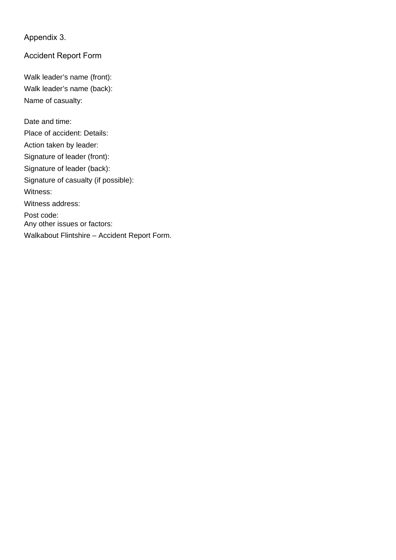### Appendix 3.

Accident Report Form

Walk leader's name (front): Walk leader's name (back): Name of casualty:

Date and time: Place of accident: Details: Action taken by leader: Signature of leader (front): Signature of leader (back): Signature of casualty (if possible): Witness: Witness address: Post code: Any other issues or factors: Walkabout Flintshire – Accident Report Form.